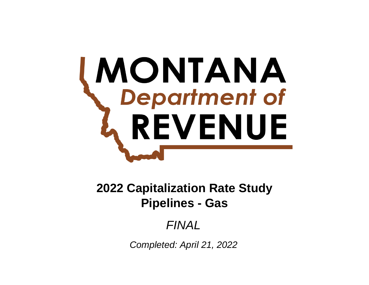# **MONTANA**<br>**Department of** REVENUE

**Pipelines - Gas 2022 Capitalization Rate Study**

*FINAL*

*Completed: April 21, 2022*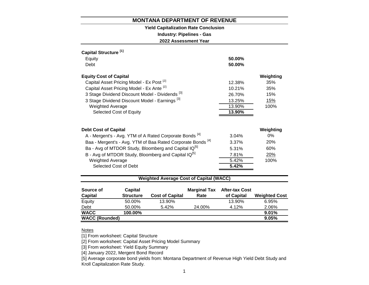# **Yield Capitalization Rate Conclusion**

**Industry: Pipelines - Gas**

**2022 Assessment Year**

| Capital Structure <sup>[1]</sup>                                       |          |            |
|------------------------------------------------------------------------|----------|------------|
| Equity                                                                 | 50.00%   |            |
| Debt                                                                   | 50.00%   |            |
| <b>Equity Cost of Capital</b>                                          |          | Weighting  |
| Capital Asset Pricing Model - Ex Post <sup>[2]</sup>                   | 12.38%   | 35%        |
| Capital Asset Pricing Model - Ex Ante [2]                              | 10.21%   | 35%        |
| 3 Stage Dividend Discount Model - Dividends <sup>[3]</sup>             | 26.70%   | 15%        |
| 3 Stage Dividend Discount Model - Earnings <sup>[3]</sup>              | 13.25%   | 15%        |
| <b>Weighted Average</b>                                                | 13.90%   | 100%       |
| Selected Cost of Equity                                                | 13.90%   |            |
|                                                                        |          |            |
| Debt Cost of Capital                                                   |          | Weighting  |
| A - Mergent's - Avg. YTM of A Rated Corporate Bonds <sup>[4]</sup>     | $3.04\%$ | 0%         |
| Baa - Mergent's - Avg. YTM of Baa Rated Corporate Bonds <sup>[4]</sup> | 3.37%    | <b>20%</b> |
| Ba - Avg of MTDOR Study, Bloomberg and Capital IQ <sup>[5]</sup>       | 5.31%    | 60%        |
| B - Avg of MTDOR Study, Bloomberg and Capital IQ <sup>[5]</sup>        | 7.81%    | 20%        |
| <b>Weighted Average</b>                                                | 5.42%    | 100%       |
| Selected Cost of Debt                                                  | 5.42%    |            |
|                                                                        |          |            |

# **Weighted Average Cost of Capital (WACC)**

| Source of             | Capital          |                        | <b>Marginal Tax</b> | <b>After-tax Cost</b> |                      |
|-----------------------|------------------|------------------------|---------------------|-----------------------|----------------------|
| <b>Capital</b>        | <b>Structure</b> | <b>Cost of Capital</b> | Rate                | of Capital            | <b>Weighted Cost</b> |
| Equity                | 50.00%           | 13.90%                 |                     | 13.90%                | 6.95%                |
| Debt                  | 50.00%           | 5.42%                  | 24.00%              | 4.12%                 | 2.06%                |
| <b>WACC</b>           | 100.00%          |                        |                     |                       | 9.01%                |
| <b>WACC (Rounded)</b> |                  |                        |                     |                       | 9.05%                |

# Notes

[1] From worksheet: Capital Structure

[2] From worksheet: Capital Asset Pricing Model Summary

[3] From worksheet: Yield Equity Summary

[4] January 2022, Mergent Bond Record

[5] Average corporate bond yields from: Montana Department of Revenue High Yield Debt Study and Kroll Capitalization Rate Study.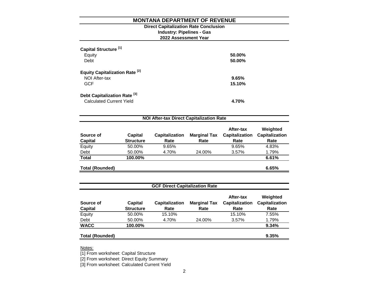# **2022 Assessment Year Industry: Pipelines - Gas Direct Capitalization Rate Conclusion**

| Capital Structure <sup>[1]</sup><br>Equity<br>Debt                         | 50.00%<br>50.00% |
|----------------------------------------------------------------------------|------------------|
| <b>Equity Capitalization Rate [2]</b><br>NOI After-tax<br><b>GCF</b>       | 9.65%<br>15.10%  |
| Debt Capitalization Rate <sup>[3]</sup><br><b>Calculated Current Yield</b> | 4.70%            |

| <b>NOI After-tax Direct Capitalization Rate</b> |                  |                       |                     |                                    |                                   |  |  |  |  |
|-------------------------------------------------|------------------|-----------------------|---------------------|------------------------------------|-----------------------------------|--|--|--|--|
| Source of                                       | <b>Capital</b>   | <b>Capitalization</b> | <b>Marginal Tax</b> | After-tax<br><b>Capitalization</b> | Weighted<br><b>Capitalization</b> |  |  |  |  |
| <b>Capital</b>                                  | <b>Structure</b> | Rate                  | Rate                | Rate                               | Rate                              |  |  |  |  |
| Equity                                          | 50.00%           | 9.65%                 |                     | 9.65%                              | 4.83%                             |  |  |  |  |
| Debt                                            | 50.00%           | 4.70%                 | 24.00%              | 3.57%                              | 1.79%                             |  |  |  |  |
| <b>Total</b>                                    | 100.00%          |                       |                     |                                    | 6.61%                             |  |  |  |  |
| <b>Total (Rounded)</b>                          |                  |                       |                     |                                    | 6.65%                             |  |  |  |  |

| <b>GCF Direct Capitalization Rate</b> |                             |                               |                             |                                            |                                           |  |  |  |
|---------------------------------------|-----------------------------|-------------------------------|-----------------------------|--------------------------------------------|-------------------------------------------|--|--|--|
| Source of<br><b>Capital</b>           | Capital<br><b>Structure</b> | <b>Capitalization</b><br>Rate | <b>Marginal Tax</b><br>Rate | After-tax<br><b>Capitalization</b><br>Rate | Weighted<br><b>Capitalization</b><br>Rate |  |  |  |
| Equity                                | 50.00%                      | 15.10%                        |                             | 15.10%                                     | 7.55%                                     |  |  |  |
| Debt                                  | 50.00%                      | 4.70%                         | 24.00%                      | 3.57%                                      | 1.79%                                     |  |  |  |
| <b>WACC</b>                           | 100.00%                     |                               |                             |                                            | 9.34%                                     |  |  |  |
| <b>Total (Rounded)</b>                |                             |                               |                             |                                            | 9.35%                                     |  |  |  |

Notes:

[1] From worksheet: Capital Structure

[2] From worksheet: Direct Equity Summary

[3] From worksheet: Calculated Current Yield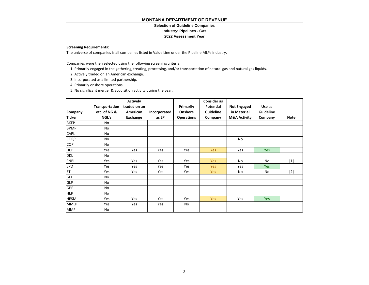#### **Selection of Guideline Companies**

**Industry: Pipelines - Gas**

#### **2022 Assessment Year**

#### **Screening Requirements:**

The universe of companies is all companies listed in Value Line under the Pipeline MLPs industry.

Companies were then selected using the following screening criteria:

- 1. Primarily engaged in the gathering, treating, processing, and/or transportation of natural gas and natural gas liquids.
- 2. Actively traded on an American exchange.
- 3. Incorporated as a limited partnership.
- 4. Primarily onshore operations.
- 5. No significant merger & acquisition activity during the year.

|               |                | <b>Actively</b> |              |                   | <b>Consider as</b> |                         |                  |             |
|---------------|----------------|-----------------|--------------|-------------------|--------------------|-------------------------|------------------|-------------|
|               | Transportation | traded on an    |              | Primarily         | <b>Potential</b>   | <b>Not Engaged</b>      | Use as           |             |
| Company       | etc. of NG &   | American        | Incorporated | Onshore           | Guideline          | in Material             | <b>Guideline</b> |             |
| <b>Ticker</b> | NGL's          | Exchange        | as LP        | <b>Operations</b> | Company            | <b>M&amp;A Activity</b> | Company          | <b>Note</b> |
| <b>BKEP</b>   | No             |                 |              |                   |                    |                         |                  |             |
| <b>BPMP</b>   | No             |                 |              |                   |                    |                         |                  |             |
| CAPL          | No             |                 |              |                   |                    |                         |                  |             |
| <b>CEQP</b>   | No             |                 |              |                   |                    | <b>No</b>               |                  |             |
| <b>CQP</b>    | No             |                 |              |                   |                    |                         |                  |             |
| <b>DCP</b>    | Yes            | Yes             | Yes          | Yes               | <b>Yes</b>         | Yes                     | Yes              |             |
| <b>DKL</b>    | No             |                 |              |                   |                    |                         |                  |             |
| <b>ENBL</b>   | Yes            | Yes             | Yes          | Yes               | <b>Yes</b>         | No                      | No               | $[1]$       |
| <b>EPD</b>    | Yes            | Yes             | Yes          | Yes               | <b>Yes</b>         | Yes                     | <b>Yes</b>       |             |
| <b>ET</b>     | <b>Yes</b>     | Yes             | Yes          | Yes               | <b>Yes</b>         | No                      | No               | $[2]$       |
| <b>GEL</b>    | No             |                 |              |                   |                    |                         |                  |             |
| <b>GLP</b>    | No             |                 |              |                   |                    |                         |                  |             |
| GPP           | No             |                 |              |                   |                    |                         |                  |             |
| <b>HEP</b>    | No             |                 |              |                   |                    |                         |                  |             |
| <b>HESM</b>   | Yes            | Yes             | Yes          | Yes               | <b>Yes</b>         | Yes                     | Yes              |             |
| <b>MMLP</b>   | Yes            | Yes             | Yes          | No                |                    |                         |                  |             |
| <b>MMP</b>    | No             |                 |              |                   |                    |                         |                  |             |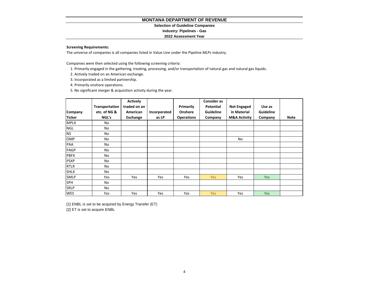#### **Selection of Guideline Companies**

**Industry: Pipelines - Gas**

#### **2022 Assessment Year**

#### **Screening Requirements:**

The universe of companies is all companies listed in Value Line under the Pipeline MLPs industry.

Companies were then selected using the following screening criteria:

- 1. Primarily engaged in the gathering, treating, processing, and/or transportation of natural gas and natural gas liquids.
- 2. Actively traded on an American exchange.
- 3. Incorporated as a limited partnership.
- 4. Primarily onshore operations.
- 5. No significant merger & acquisition activity during the year.

|               |                | <b>Actively</b> |              |                   | <b>Consider as</b> |                         |                  |             |
|---------------|----------------|-----------------|--------------|-------------------|--------------------|-------------------------|------------------|-------------|
|               | Transportation | traded on an    |              | Primarily         | <b>Potential</b>   | <b>Not Engaged</b>      | Use as           |             |
| Company       | etc. of NG &   | American        | Incorporated | Onshore           | <b>Guideline</b>   | in Material             | <b>Guideline</b> |             |
| <b>Ticker</b> | NGL's          | Exchange        | as LP        | <b>Operations</b> | Company            | <b>M&amp;A Activity</b> | Company          | <b>Note</b> |
| <b>MPLX</b>   | No             |                 |              |                   |                    |                         |                  |             |
| <b>NGL</b>    | No             |                 |              |                   |                    |                         |                  |             |
| <b>NS</b>     | No             |                 |              |                   |                    |                         |                  |             |
| <b>OMP</b>    | No             |                 |              |                   |                    | No                      |                  |             |
| PAA           | No             |                 |              |                   |                    |                         |                  |             |
| <b>PAGP</b>   | No             |                 |              |                   |                    |                         |                  |             |
| <b>PBFX</b>   | No             |                 |              |                   |                    |                         |                  |             |
| <b>PSXP</b>   | No             |                 |              |                   |                    |                         |                  |             |
| <b>RTLR</b>   | No             |                 |              |                   |                    |                         |                  |             |
| <b>SHLX</b>   | No             |                 |              |                   |                    |                         |                  |             |
| <b>SMLP</b>   | Yes            | Yes             | Yes          | Yes               | <b>Yes</b>         | <b>Yes</b>              | Yes:             |             |
| SPH           | No             |                 |              |                   |                    |                         |                  |             |
| <b>SRLP</b>   | No             |                 |              |                   |                    |                         |                  |             |
| <b>WES</b>    | Yes            | Yes             | Yes          | Yes               | <b>Yes</b>         | Yes                     | Yes              |             |

[2] ET is set to acquire ENBL [1] ENBL is set to be acquired by Energy Transfer (ET)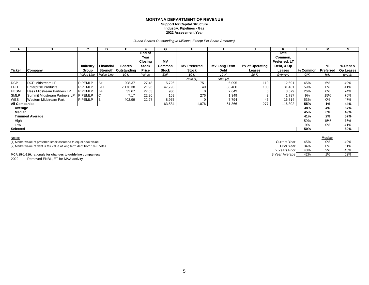#### **Support for Capital Structure Industry: Pipelines - Gas**

**2022 Assessment Year**

#### *(\$ and Shares Outstanding In Millions, Except Per Share Amounts)*

| A                    | в                                 | C               | D          | E.                   | Е                                | G            | н                   |                     |                        | ĸ                                 |          | М         | N         |
|----------------------|-----------------------------------|-----------------|------------|----------------------|----------------------------------|--------------|---------------------|---------------------|------------------------|-----------------------------------|----------|-----------|-----------|
|                      |                                   |                 |            |                      | <b>End of</b><br>Year<br>Closing | <b>MV</b>    |                     |                     |                        | Total<br>Common,<br>Preferred, LT |          |           |           |
|                      |                                   | <b>Industry</b> | Financial  | <b>Shares</b>        | <b>Stock</b>                     | Common       | <b>MV Preferred</b> | <b>MV Long Term</b> | <b>PV of Operating</b> | Debt, & Op                        |          | $\%$      | % Debt &  |
| <b>Ticker</b>        | Company                           | Group           |            | Strength Outstanding | Price                            | <b>Stock</b> | <b>Stock</b>        | Debt                | Leases                 | Leases                            | % Common | Preferred | Op Leases |
|                      |                                   | Value Line      | Value Line | $10-K$               | Yahoo                            | ExF          | $10-K$              | $10-K$              | $10-K$                 | $G+H+I+J$                         | G/K      | H/K       | (I+J)/K   |
|                      |                                   |                 |            |                      |                                  |              | Note $[1]$          | Note [2]            |                        |                                   |          |           |           |
| <b>DCP</b>           | DCP Midstream LP                  | <b>PIPEMLP</b>  | B+         | 208.37               | 27.48                            | 5,726        | 751                 | 6,095               | 119                    | 12,691                            | 45%      | 6%        | 49%       |
| <b>EPD</b>           | <b>Enterprise Products</b>        | <b>PIPEMLP</b>  | $B++$      | 2,176.38             | 21.96                            | 47,793       | 49                  | 33,480              | 108                    | 81,431                            | 59%      | 0%        | 41%       |
| <b>HESM</b>          | <b>Hess Midstream Partners LP</b> | <b>PIPEMLP</b>  | lB+        | 33.67                | 27.63                            | 930          |                     | 2,649               |                        | 3,579                             | 26%      | 0%        | 74%       |
| <b>SMLP</b>          | Summit Midstream Partners LP      | <b>PIPEMLP</b>  | C.         | 7.17                 | 22.20                            | 159          | 276                 | 1,349               |                        | 1,787                             | 9%       | 15%       | 76%       |
| WES                  | Western Midstream Part.           | <b>PIPEMLP</b>  | B          | 402.99               | 22.27                            | 8,975        | $\Omega$            | 7,794               | 46                     | 16,814                            | 53%      | 0%        | 47%       |
| <b>All Companies</b> |                                   |                 |            |                      |                                  | 63,584       | 1,076               | 51,366              | 277                    | 116,302                           | 55%      | 1%        | 44%       |
| Average              |                                   |                 |            |                      |                                  |              |                     |                     |                        |                                   | 38%      | 4%        | 57%       |
| Median               |                                   |                 |            |                      |                                  |              |                     |                     |                        |                                   | 45%      | 0%        | 49%       |
|                      | <b>Trimmed Average</b>            |                 |            |                      |                                  |              |                     |                     |                        |                                   | 41%      | 2%        | 57%       |
| High                 |                                   |                 |            |                      |                                  |              |                     |                     |                        |                                   | 59%      | 15%       | 76%       |
| Low                  |                                   |                 |            |                      |                                  |              |                     |                     |                        |                                   | 9%       | 0%        | 41%       |
| Selected             |                                   |                 |            |                      |                                  |              |                     |                     |                        |                                   | 50%      |           | 50%       |
| Notes:               |                                   |                 |            |                      |                                  |              |                     |                     |                        |                                   |          | Median    |           |

| [1] Market value of preferred stock assumed to equal book value          | Current Year   | 45% | 0% | 49% |  |
|--------------------------------------------------------------------------|----------------|-----|----|-----|--|
| [2] Market value of debt is fair value of long term debt from 10-K notes | Prior Year     | 34% | 0% | 61% |  |
|                                                                          | 2 Years Prior  | 48% | 2% | 45% |  |
| MCA 15-1-210, rationale for changes to guideline companies:              | 3 Year Average | 42% | 1% | 52% |  |
|                                                                          |                |     |    |     |  |

2022 - Removed ENBL, ET for M&A activity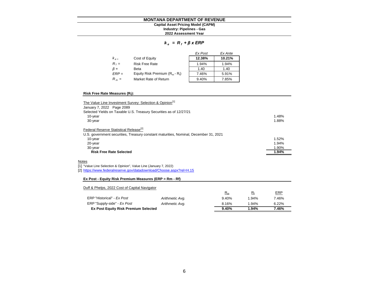#### **MONTANA DEPARTMENT OF REVENUE Industry: Pipelines - Gas Capital Asset Pricing Model (CAPM)**

# **2022 Assessment Year**

### *k e = R <sup>f</sup> + β x ERP*

|           |                                   | Ex Post | Ex Ante |
|-----------|-----------------------------------|---------|---------|
| $k_{e}$   | Cost of Equity                    | 12.38%  | 10.21%  |
| $R_f =$   | <b>Risk Free Rate</b>             | 1.94%   | 1.94%   |
| $\beta =$ | Beta                              | 1.40    | 1.40    |
| $ERP =$   | Equity Risk Premium $(R_m - R_i)$ | 7.46%   | 5.91%   |
| $R_m =$   | Market Rate of Return             | 9.40%   | 7.85%   |

#### **Risk Free Rate Measures (R<sup>f</sup> ):**

| The Value Line Investment Survey: Selection & Opinion <sup>[1]</sup><br>January 7, 2022 Page 2089 |       |
|---------------------------------------------------------------------------------------------------|-------|
| Selected Yields on Taxable U.S. Treasury Securities as of 12/27/21                                |       |
| 10-year                                                                                           | 1.48% |
| 30-year                                                                                           | 1.88% |
| Federal Reserve Statistical Release <sup>[2]</sup>                                                |       |
| U.S. government securities, Treasury constant maturities, Nominal, December 31, 2021              |       |
| 10-year                                                                                           | 1.52% |
| 20-year                                                                                           | 1.94% |
| 30-year                                                                                           | 1.90% |
| <b>Risk Free Rate Selected</b>                                                                    | 1.94% |
| Notes                                                                                             |       |
| [1] "Value Line Selection & Opinion", Value Line (January 7, 2022)                                |       |
| [2] https://www.federalreserve.gov/datadownload/Choose.aspx?rel=H.15                              |       |
| Ex Post - Equity Risk Premium Measures (ERP = Rm - Rf)                                            |       |
| Duff & Phelps, 2022 Cost of Capital Navigator                                                     |       |

| <b>Dan &amp; Filopo, Lolle Occi or Oaphart Ravigator</b> |                 | $E_{\rm m}$ | $R_{f}$ | <u>ERP</u> |
|----------------------------------------------------------|-----------------|-------------|---------|------------|
| ERP "Historical" - Ex Post                               | Arithmetic Avg. | 9.40%       | 1.94%   | 7.46%      |
| ERP "Supply-side" - Ex Post                              | Arithmetic Avg. | 8.16%       | 1.94%   | 6.22%      |
| <b>Ex Post Equity Risk Premium Selected</b>              |                 | 9.40%       | 1.94%   | 7.46%      |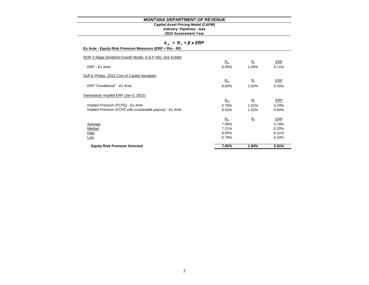#### **Industry: Pipelines - Gas Capital Asset Pricing Model (CAPM)**

#### **2022 Assessment Year**

# *k e = R <sup>f</sup> + β x ERP*

| Ex Ante - Equity Risk Premium Measures (ERP = Rm - Rf) |  |
|--------------------------------------------------------|--|
|--------------------------------------------------------|--|

| DOR 3 Stage Dividend Growth Model, S & P 500, See Exhibit |       |             |       |
|-----------------------------------------------------------|-------|-------------|-------|
|                                                           | $R_m$ | $R_{\rm f}$ | ERP   |
| ERP - Ex Ante                                             | 8.05% | 1.94%       | 6.11% |
| Duff & Phelps, 2022 Cost of Capital Navigator             |       |             |       |
|                                                           | $R_m$ | $R_{\rm f}$ | ERP   |
| ERP "Conditional" - Ex Ante                               | 8.00% | 2.50%       | 5.50% |
| Damodaran Implied ERP (Jan 5, 2022)                       |       |             |       |
|                                                           | $R_m$ | $R_{\rm f}$ | ERP   |
| Implied Premium (FCFE) - Ex Ante                          | 5.76% | 1.52%       | 4.24% |
| Implied Premium (FCFE with sustainable payout) - Ex Ante  | 6.42% | 1.52%       | 4.90% |
|                                                           | $R_m$ | $R_{\rm f}$ | ERP   |
| Average                                                   | 7.06% |             | 5.19% |
| Median                                                    | 7.21% |             | 5.20% |
| High                                                      | 8.05% |             | 6.11% |
| Low                                                       | 5.76% |             | 4.24% |
| <b>Equity Risk Premium Selected</b>                       | 7.85% | 1.94%       | 5.91% |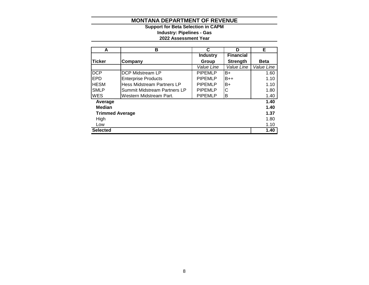**2022 Assessment Year Industry: Pipelines - Gas Support for Beta Selection in CAPM**

| A                      | в                            | C               | D                | Е           |
|------------------------|------------------------------|-----------------|------------------|-------------|
|                        |                              | <b>Industry</b> | <b>Financial</b> |             |
| Ticker                 | Company                      | Group           | <b>Strength</b>  | <b>Beta</b> |
|                        |                              | Value Line      | Value Line       | Value Line  |
| <b>DCP</b>             | DCP Midstream LP             | <b>PIPEMLP</b>  | B+               | 1.60        |
| EPD                    | <b>Enterprise Products</b>   | <b>PIPEMLP</b>  | $B++$            | 1.10        |
| <b>HESM</b>            | Hess Midstream Partners LP   | <b>PIPEMLP</b>  | $B+$             | 1.10        |
| <b>SMLP</b>            | Summit Midstream Partners LP | <b>PIPEMLP</b>  | C                | 1.80        |
| <b>WES</b>             | Western Midstream Part.      | <b>PIPEMLP</b>  | Β                | 1.40        |
| Average                |                              |                 |                  | 1.40        |
| <b>Median</b>          |                              |                 |                  | 1.40        |
| <b>Trimmed Average</b> |                              |                 |                  | 1.37        |
| High                   |                              |                 |                  | 1.80        |
| Low                    |                              |                 |                  | 1.10        |
| <b>Selected</b>        |                              |                 |                  | 1.40        |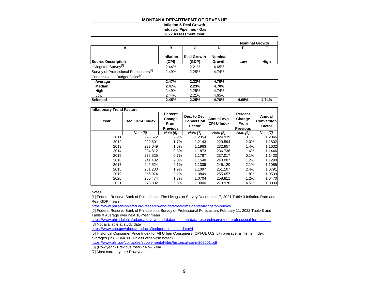# **Inflation & Real Growth Industry: Pipelines - Gas**

#### **2022 Assessment Year**

|                                                   |                    |                             |                          |       | <b>Nominal Growth</b> |
|---------------------------------------------------|--------------------|-----------------------------|--------------------------|-------|-----------------------|
| А                                                 | в                  | C                           | D                        | Е     | F                     |
| <b>Source Description</b>                         | Inflation<br>(CPI) | <b>Real Growth</b><br>(GDP) | <b>Nominal</b><br>Growth | Low   | High                  |
| Livingston Survey <sup>[1]</sup>                  | 2.44%              | 2.21%                       | 4.65%                    |       |                       |
| Survey of Professional Forecasters <sup>[2]</sup> | 2.49%              | 2.25%                       | 4.74%                    |       |                       |
| Congressional Budget Office <sup>[3]</sup>        |                    |                             |                          |       |                       |
| Average                                           | 2.47%              | 2.23%                       | 4.70%                    |       |                       |
| Median                                            | 2.47%              | 2.23%                       | 4.70%                    |       |                       |
| High                                              | 2.49%              | 2.25%                       | 4.74%                    |       |                       |
| Low                                               | 2.44%              | 2.21%                       | 4.65%                    |       |                       |
| <b>Selected</b>                                   | 2.45%              | 2.25%                       | 4.70%                    | 4.65% | 4.74%                 |

| <b>Inflationary Trend Factors</b> |                  |                                                     |                                             |                                   |                                                     |                                              |
|-----------------------------------|------------------|-----------------------------------------------------|---------------------------------------------|-----------------------------------|-----------------------------------------------------|----------------------------------------------|
| Year                              | Dec. CPI-U Index | Percent<br>Change<br><b>From</b><br><b>Previous</b> | Dec. to Dec.<br>Conversion<br><b>Factor</b> | Annual Avg.<br><b>CPI-U Index</b> | Percent<br>Change<br><b>From</b><br><b>Previous</b> | Annual<br><b>Conversion</b><br><b>Factor</b> |
|                                   | Note [5]         | Note [6]                                            | <b>Note [7]</b>                             | Note [5]                          | Note [6]                                            | Note [7]                                     |
| 2011                              | 225.672          | 2.9%                                                | 1.2354                                      | 224.939                           | 3.1%                                                | 1.2046                                       |
| 2012                              | 229.601          | 1.7%                                                | 1.2143                                      | 229.594                           | 2.0%                                                | 1.1802                                       |
| 2013                              | 233.049          | 1.5%                                                | 1.1963                                      | 232.957                           | 1.4%                                                | 1.1632                                       |
| 2014                              | 234.812          | 0.8%                                                | 1.1873                                      | 236.736                           | 1.6%                                                | 1.1446                                       |
| 2015                              | 236.525          | 0.7%                                                | 1.1787                                      | 237.017                           | 0.1%                                                | 1.1433                                       |
| 2016                              | 241.432          | 2.0%                                                | 1.1548                                      | 240.007                           | 1.2%                                                | 1.1290                                       |
| 2017                              | 246.524          | 2.1%                                                | 1.1309                                      | 245.120                           | 2.1%                                                | 1.1055                                       |
| 2018                              | 251.233          | 1.9%                                                | 1.1097                                      | 251.107                           | 2.4%                                                | 1.0791                                       |
| 2019                              | 256.974          | 2.2%                                                | 1.0849                                      | 255.657                           | 1.8%                                                | 1.0599                                       |
| 2020                              | 260.474          | 1.3%                                                | 1.0704                                      | 258.811                           | 1.2%                                                | 1.0470                                       |
| 2021                              | 278.802          | 6.6%                                                | 1.0000                                      | 270.970                           | 4.5%                                                | 1.0000                                       |

#### **Notes**

[1] Federal Reserve Bank of Philadelphia The Livingston Survey December 17, 2021 Table 3 Inflation Rate and Real GDP mean

<https://www.philadelphiafed.org/research-and-data/real-time-center/livingston-survey>

[2] Federal Reserve Bank of Philadelphia Survey of Professional Forecasters February 11, 2022 Table 8 and Table 9 Average over next 10-Year mean

<https://www.philadelphiafed.org/surveys-and-data/real-time-data-research/survey-of-professional-forecasters> [3] Not available at study date

<https://www.cbo.gov/about/products/budget-economic-data#4>

[5] Historical Consumer Price Index for All Urban Consumers (CPI-U): U.S. city average, all items, index averages (1982-84=100, unless otherwise noted)

<https://www.bls.gov/cpi/tables/supplemental-files/historical-cpi-u-202001.pdf>

[6] (Row year - Previous Year) / Row Year

[7] Most current year / Row year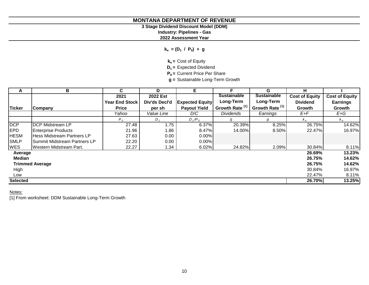# **3 Stage Dividend Discount Model (DDM)**

**Industry: Pipelines - Gas**

**2022 Assessment Year**

**ke = (D<sup>1</sup> / P<sup>0</sup> ) + g**

**ke =** Cost of Equity

**D1 =** Expected Dividend

**P0 =** Current Price Per Share

**g =** Sustainable Long-Term Growth

| A               | В                            | C.                    | D             | Е.                     | F                          | G                          | н                             |                       |
|-----------------|------------------------------|-----------------------|---------------|------------------------|----------------------------|----------------------------|-------------------------------|-----------------------|
|                 |                              | 2021                  | 2022 Est      |                        | <b>Sustainable</b>         | <b>Sustainable</b>         | <b>Cost of Equity</b>         | <b>Cost of Equity</b> |
|                 |                              | <b>Year End Stock</b> | Div'ds Decl'd | <b>Expected Equity</b> | Long-Term                  | Long-Term                  | <b>Dividend</b>               | <b>Earnings</b>       |
| <b>Ticker</b>   | Company                      | <b>Price</b>          | per sh        | <b>Payout Yield</b>    | Growth Rate <sup>[1]</sup> | Growth Rate <sup>[1]</sup> | Growth                        | Growth                |
|                 |                              | Yahoo                 | Value Line    | D/C                    | <b>Dividends</b>           | Earnings                   | $E+F$                         | $E+G$                 |
|                 |                              | $P_{0}$               | $D_{1}$       | $D_1/P_0$              | g                          | g                          | $k_{\scriptscriptstyle\rm B}$ | $k_{\rm e}$           |
| <b>DCP</b>      | <b>DCP Midstream LP</b>      | 27.48                 | 1.75          | 6.37%                  | 20.39%                     | 8.25%                      | 26.75%                        | 14.62%                |
| EPD             | <b>Enterprise Products</b>   | 21.96                 | 1.86          | 8.47%                  | 14.00%                     | 8.50%                      | 22.47%                        | 16.97%                |
| <b>HESM</b>     | Hess Midstream Partners LP   | 27.63                 | 0.00          | 0.00%                  |                            |                            |                               |                       |
| <b>SMLP</b>     | Summit Midstream Partners LP | 22.20                 | 0.00          | 0.00%                  |                            |                            |                               |                       |
| <b>WES</b>      | Western Midstream Part.      | 22.27                 | 34. ا         | 6.02%                  | 24.82%                     | 2.09%                      | 30.84%                        | 8.11%                 |
| Average         |                              |                       |               |                        |                            |                            | 26.69%                        | 13.23%                |
| <b>Median</b>   |                              |                       |               |                        |                            |                            | 26.75%                        | 14.62%                |
|                 | <b>Trimmed Average</b>       |                       |               |                        |                            |                            | 26.75%                        | 14.62%                |
| High            |                              |                       |               |                        |                            |                            | 30.84%                        | 16.97%                |
| Low             |                              |                       |               |                        |                            |                            | 22.47%                        | 8.11%                 |
| <b>Selected</b> |                              |                       |               |                        |                            |                            | 26.70%                        | 13.25%                |

Notes:

[1] From worksheet: DDM Sustainable Long-Term Growth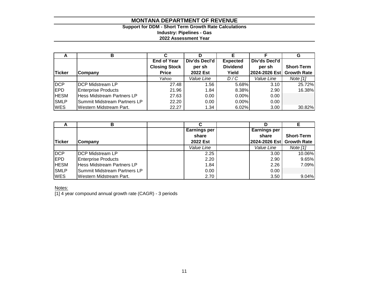# **Support for DDM - Short Term Growth Rate Calculations Industry: Pipelines - Gas 2022 Assessment Year**

|               |                              |                      |               |                 |               | G                  |
|---------------|------------------------------|----------------------|---------------|-----------------|---------------|--------------------|
|               |                              | <b>End of Year</b>   | Div'ds Decl'd | <b>Expected</b> | Div'ds Decl'd |                    |
|               |                              | <b>Closing Stock</b> | per sh        | <b>Dividend</b> | per sh        | <b>Short-Term</b>  |
| <b>Ticker</b> | Company                      | <b>Price</b>         | 2022 Est      | Yield           | 2024-2026 Est | <b>Growth Rate</b> |
|               |                              | Yahoo                | Value Line    | D/C             | Value Line    | Note $[1]$         |
| DCP           | <b>DCP Midstream LP</b>      | 27.48                | 1.56          | 5.68%           | 3.10          | 25.72%             |
| <b>IEPD</b>   | <b>Enterprise Products</b>   | 21.96                | 1.84          | 8.38%           | 2.90          | 16.38%             |
| <b>HESM</b>   | Hess Midstream Partners LP   | 27.63                | 0.00          | $0.00\%$        | 0.00          |                    |
| <b>SMLP</b>   | Summit Midstream Partners LP | 22.20                | 0.00          | $0.00\%$        | 0.00          |                    |
| <b>WES</b>    | Western Midstream Part.      | 22.27                | 1.34          | 6.02%           | 3.00          | 30.82%             |

|             | в                                 |                          |                     |                    |
|-------------|-----------------------------------|--------------------------|---------------------|--------------------|
|             |                                   | <b>Earnings per</b>      | <b>Earnings per</b> |                    |
|             |                                   | share                    | share               | <b>Short-Term</b>  |
| Ticker      | Company                           | 2022 Est                 | 2024-2026 Est       | <b>Growth Rate</b> |
|             |                                   | <i><b>Value Line</b></i> | Value Line          | Note $[1]$         |
| DCP         | <b>DCP Midstream LP</b>           | 2.25                     | 3.00                | 10.06%             |
| <b>EPD</b>  | <b>Enterprise Products</b>        | 2.20                     | 2.90                | 9.65%              |
| <b>HESM</b> | <b>Hess Midstream Partners LP</b> | 1.84                     | 2.26                | 7.09%              |
| <b>SMLP</b> | Summit Midstream Partners LP      | 0.00                     | 0.00                |                    |
| <b>WES</b>  | Western Midstream Part.           | 2.70                     | 3.50                | 9.04%              |

Notes:

[1] 4 year compound annual growth rate (CAGR) - 3 periods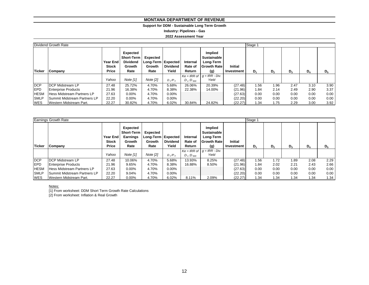## **Support for DDM - Sustainable Long Term Growth**

**Industry: Pipelines - Gas**

**2022 Assessment Year**

|             | Dividend Growth Rate                |                                                                                           |            |                                                                                     |           |                               |                                                                         |                              | Stage 1 |                |       |       |       |
|-------------|-------------------------------------|-------------------------------------------------------------------------------------------|------------|-------------------------------------------------------------------------------------|-----------|-------------------------------|-------------------------------------------------------------------------|------------------------------|---------|----------------|-------|-------|-------|
| Ticker      | Company                             | Expected<br><b>Dividend</b><br><b>Year End</b><br><b>Stock</b><br>Growth<br>Price<br>Rate |            | <b>Short-Term</b><br>Expected<br>Long-Term   Expected<br>Dividend<br>Growth<br>Rate |           | Internal<br>Rate of<br>Return | Implied<br><b>Sustainable</b><br>Long-Term<br><b>Growth Rate</b><br>(g) | <b>Initial</b><br>Investment | D,      | D <sub>2</sub> | $D_3$ | $D_4$ | $D_5$ |
|             |                                     | Yahoo                                                                                     | Note $[1]$ | Note [2]                                                                            | $D_1/P_0$ | $D_1:D_{500}$                 | $Ke = IRR$ of $g = IRR - Div.$<br>Yield                                 |                              |         |                |       |       |       |
| <b>DCP</b>  | <b>IDCP Midstream LP</b>            | 27.48                                                                                     | 25.72%     | 4.70%                                                                               | 5.68%     | 26.06%                        | 20.39%                                                                  | (27.48)                      | .56     | 1.96           | 2.47  | 3.10  | 3.90  |
| <b>EPD</b>  | <b>Enterprise Products</b>          | 21.96                                                                                     | 16.38%     | 4.70%                                                                               | 8.38%     | 22.38%                        | 14.00%                                                                  | (21.96)                      | 1.84    | 2.14           | 2.49  | 2.90  | 3.37  |
| <b>HESM</b> | <b>Hess Midstream Partners LP</b>   | 27.63                                                                                     | $0.00\%$   | 4.70%                                                                               | $0.00\%$  |                               |                                                                         | (27.63)                      | 0.00    | 0.00           | 0.00  | 0.00  | 0.00  |
| <b>SMLP</b> | <b>Summit Midstream Partners LP</b> | 22.20                                                                                     | $0.00\%$   | 4.70%                                                                               | $0.00\%$  |                               |                                                                         | (22.20)                      | 0.00    | 0.00           | 0.00  | 0.00  | 0.00  |
| <b>WES</b>  | Western Midstream Part.             | 22.27                                                                                     | 30.82%     | 4.70%                                                                               | 6.02%     | 30.84%                        | 24.82%                                                                  | (22.27)                      | 1.34    | 1.75           | 2.29  | 3.00  | 3.92  |

|             | <b>Earnings Growth Rate</b>         |                                                                                                                       |            |                                                  |                          |                               |                                                                         |                              | Stage 1 |                |       |       |       |
|-------------|-------------------------------------|-----------------------------------------------------------------------------------------------------------------------|------------|--------------------------------------------------|--------------------------|-------------------------------|-------------------------------------------------------------------------|------------------------------|---------|----------------|-------|-------|-------|
| Ticker      | Company                             | <b>Expected</b><br><b>Short-Term</b><br><b>Earnings</b><br>Year End<br><b>Stock</b><br>Growth<br><b>Price</b><br>Rate |            | Expected<br>Long-Term Expected<br>Growth<br>Rate | <b>Dividend</b><br>Yield | Internal<br>Rate of<br>Return | Implied<br><b>Sustainable</b><br>Long-Term<br><b>Growth Rate</b><br>(g) | <b>Initial</b><br>Investment | D,      | D <sub>2</sub> | $D_3$ | $D_4$ | $D_5$ |
|             |                                     | Yahoo                                                                                                                 | Note $[1]$ | Note [2]                                         | $D_1/P_0$                | $D_1:D_{500}$                 | $Ke = IRR$ of $g = IRR - Div.$<br>Yield                                 |                              |         |                |       |       |       |
| <b>DCP</b>  | <b>IDCP Midstream LP</b>            | 27.48                                                                                                                 | 10.06%     | 4.70%                                            | 5.68%                    | 13.93%                        | 8.25%                                                                   | (27.48)                      | 1.56    | 1.72           | 1.89  | 2.08  | 2.29  |
| <b>EPD</b>  | <b>Enterprise Products</b>          | 21.96                                                                                                                 | 9.65%      | 4.70%                                            | 8.38%                    | 16.88%                        | 8.50%                                                                   | (21.96)                      | 1.84    | 2.02           | 2.21  | 2.43  | 2.66  |
| <b>HESM</b> | Hess Midstream Partners LP          | 27.63                                                                                                                 | $0.00\%$   | 4.70%                                            | $0.00\%$                 |                               |                                                                         | (27.63)                      | 0.00    | 0.00           | 0.00  | 0.00  | 0.00  |
| <b>SMLP</b> | <b>Summit Midstream Partners LP</b> | 22.20                                                                                                                 | 9.04%      | 4.70%                                            | 0.00%                    |                               |                                                                         | (22.20)                      | 0.00    | 0.00           | 0.00  | 0.00  | 0.00  |
| <b>WES</b>  | Western Midstream Part.             | 22.27                                                                                                                 | $0.00\%$   | 4.70%                                            | 6.02%                    | 8.11%                         | 2.09%                                                                   | (22.27)                      | 1.34    | 1.34           | 1.34  | 1.34  | 1.34  |

Notes:

[1] From worksheet: DDM Short Term Growth Rate Calculations

[2] From worksheet: Inflation & Real Growth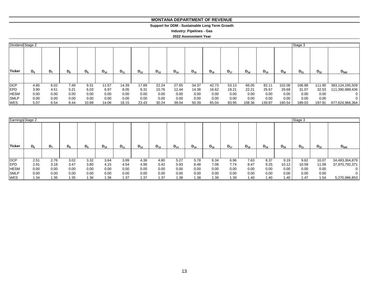#### **MONTANA DEPARTMENT OF REVENUE MONTANA DEPARTMENT OF REVENUE**

#### **Support for DDM - Sustainable Long Term Growth Support for DDM - Sustainable Long Term Growth**

**Industry: Pipelines - Gas Industry: Pipelines - Gas**

#### **2022 Assessment Year 2022 Assessment Year**

| Dividend Stage 2 |         |                |             |                |          |          |          |          |          |          |          |          |          |          |          | Stage 3  |          |                    |
|------------------|---------|----------------|-------------|----------------|----------|----------|----------|----------|----------|----------|----------|----------|----------|----------|----------|----------|----------|--------------------|
| <b>Ticker</b>    | $D_{6}$ | D <sub>7</sub> | $D_{\rm R}$ | D <sub>9</sub> | $D_{10}$ | $D_{11}$ | $D_{12}$ | $D_{13}$ | $D_{14}$ | $D_{15}$ | $D_{16}$ | $D_{17}$ | $D_{18}$ | $D_{19}$ | $D_{20}$ | $D_{21}$ | $D_{22}$ | $D_{500}$          |
|                  |         |                |             |                |          |          |          |          |          |          |          |          |          |          |          |          |          |                    |
| <b>DCP</b>       | 4.85    | 6.02           | 7.49        | 9.31           | 11.57    | 14.39    | 17.89    | 22.24    | 27.65    | 34.37    | 42.73    | 53.13    | 66.05    | 82.11    | 102.08   | 106.88   | 111.90   | 383, 124, 195, 509 |
| <b>EPD</b>       | 3.90    | 4.51           | 5.21        | 6.03           | 6.97     | 8.05     | 9.31     | 10.76    | 12.44    | 14.38    | 16.62    | 19.21    | 22.21    | 25.67    | 29.68    | 31.07    | 32.53    | 111,390,989,436    |
| <b>HESM</b>      | 0.00    | 0.00           | 0.00        | 0.00           | 0.00     | 0.00     | 0.00     | 0.00     | 0.00     | 0.00     | 0.00     | 0.00     | 0.00     | 0.00     | 0.00     | 0.00     | 0.00     |                    |
| <b>SMLP</b>      | 0.00    | 0.00           | 0.00        | 0.00           | 0.00     | 0.00     | 0.00     | 0.00     | 0.00     | 0.00     | 0.00     | 0.00     | 0.00     | 0.00     | 0.00     | 0.00     | 0.00     |                    |
| <b>WES</b>       | 5.07    | 6.54           | 8.44        | 10.89          | 14.06    | 18.15    | 23.43    | 30.24    | 39.04    | 50.39    | 65.04    | 83.95    | 108.36   | 139.87   | 180.54   | 189.03   | 197.91   | 677,624,966,364    |

| Earnings Stage 2 |       |                |       |       |          |          |          |          |          |          |          |          |          |          |          | Stage 3  |          |                |
|------------------|-------|----------------|-------|-------|----------|----------|----------|----------|----------|----------|----------|----------|----------|----------|----------|----------|----------|----------------|
| <b>Ticker</b>    | $D_6$ | D <sub>7</sub> | $D_8$ | $D_9$ | $D_{10}$ | $D_{11}$ | $D_{12}$ | $D_{13}$ | $D_{14}$ | $D_{15}$ | $D_{16}$ | $D_{17}$ | $D_{18}$ | $D_{19}$ | $D_{20}$ | $D_{21}$ | $D_{22}$ | $D_{500}$      |
| <b>DCP</b>       | 2.51  | 2.76           | 3.02  | 3.32  | 3.64     | 3.99     | 4.38     | 4.80     | 5.27     | 5.78     | 6.34     | 6.96     | 7.63     | 8.37     | 9.19     | 9.62     | 10.07    | 34,483,364,879 |
| <b>IEPD</b>      | 2.91  | 3.18           | 3.47  | 3.80  | 4.15     | 4.54     | 4.96     | 5.42     | 5.93     | 6.48     | 7.08     | 7.74     | 8.47     | 9.25     | 10.12    | 10.59    | 11.09    | 37,970,792,371 |
| <b>HESM</b>      | 0.00  | 0.00           | 0.00  | 0.00  | 0.00     | 0.00     | 0.00     | 0.00     | 0.00     | 0.00     | 0.00     | 0.00     | 0.00     | 0.00     | 0.00     | 0.00     | 0.00     | $\mathbf{0}$   |
| <b>SMLP</b>      | 0.00  | 0.00           | 0.00  | 0.00  | 0.00     | 0.00     | 0.00     | 0.00     | 0.00     | 0.00     | 0.00     | 0.00     | 0.00     | 0.00     | 0.00     | 0.00     | 0.00     | 0              |
| <b>WES</b>       | 1.34  | 1.35           | 1.35  | 1.36  | 1.36     | 1.37     | 1.37     | 1.37     | 1.38     | 1.38     | 1.39     | 1.39     | 1.40     | 1.40     | 1.40     | 1.47     | 1.54     | 5,270,986,853  |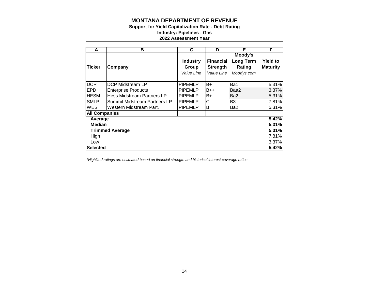# **Support for Yield Capitalization Rate - Debt Rating Industry: Pipelines - Gas 2022 Assessment Year**

| A                    | в                            | С               | D                | Е          | F               |
|----------------------|------------------------------|-----------------|------------------|------------|-----------------|
|                      |                              |                 |                  | Moody's    |                 |
|                      |                              | <b>Industry</b> | <b>Financial</b> | Long Term  | <b>Yield to</b> |
| <b>Ticker</b>        | Company                      | Group           | <b>Strength</b>  | Rating     | <b>Maturity</b> |
|                      |                              | Value Line      | Value Line       | Moodys.com |                 |
|                      |                              |                 |                  |            |                 |
| <b>DCP</b>           | DCP Midstream LP             | <b>PIPEMLP</b>  | $B+$             | Ba1        | 5.31%           |
| <b>EPD</b>           | <b>Enterprise Products</b>   | <b>PIPEMLP</b>  | <b>B</b> ++      | Baa2       | 3.37%           |
| <b>HESM</b>          | Hess Midstream Partners LP   | <b>PIPEMLP</b>  | B+               | Ba2        | 5.31%           |
| <b>SMLP</b>          | Summit Midstream Partners LP | <b>PIPEMLP</b>  | С                | B3         | 7.81%           |
| <b>WES</b>           | Western Midstream Part.      | <b>PIPEMLP</b>  | В                | Ba2        | 5.31%           |
| <b>All Companies</b> |                              |                 |                  |            |                 |
| Average              |                              |                 |                  |            | 5.42%           |
| <b>Median</b>        |                              |                 |                  |            | 5.31%           |
|                      | <b>Trimmed Average</b>       |                 |                  |            | 5.31%           |
| High                 |                              |                 |                  |            | 7.81%           |
| Low                  |                              |                 |                  |            | 3.37%           |
| <b>Selected</b>      |                              |                 |                  |            | 5.42%           |

*\*Highlited ratings are estimated based on financial strength and historical interest coverage ratios*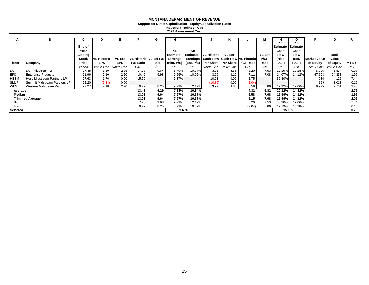**Support for Direct Capitalization - Equity Capitalization Rates**

**2022 Assessment Year Industry: Pipelines - Gas**

| A           | в                            | C                       | D                  | Е             |                  | G                        | H.                          |        |                               | ĸ                                                        |                                               |                              | N                                  | O                    |                     | Q                    | R           |
|-------------|------------------------------|-------------------------|--------------------|---------------|------------------|--------------------------|-----------------------------|--------|-------------------------------|----------------------------------------------------------|-----------------------------------------------|------------------------------|------------------------------------|----------------------|---------------------|----------------------|-------------|
|             |                              | End of                  |                    |               |                  |                          |                             |        |                               |                                                          |                                               |                              | Ke<br><b>Estimate - Estimate -</b> | Ke.                  |                     |                      |             |
|             |                              | Year                    |                    |               |                  |                          | Ke                          | Ke     |                               |                                                          |                                               |                              | Cash                               | Cash                 |                     |                      |             |
|             |                              | Closing<br><b>Stock</b> | <b>VL Historic</b> | <b>VL Est</b> |                  | VL Historic   VL Est P/E | <b>Estimate</b><br>Earnings |        | <b>Estimate - VL Historic</b> | VL Est<br>Earnings   Cash Flow   Cash Flow   VL Historic |                                               | <b>VL Est</b><br><b>P/CF</b> | Flow<br>(Hist.                     | <b>Flow</b><br>(Est. | <b>Market Value</b> | <b>Book</b><br>Value |             |
| Ticker      | Company                      | Price                   | <b>EPS</b>         | <b>EPS</b>    | <b>P/E Ratio</b> | Ratio                    | (Hist. P/E)                 |        |                               |                                                          | (Est. P/E) Per Share   Per Share   P/CF Ratio | Ratio                        | $P$ / $CF$ )                       | P(CF)                | of Equity           | of Equity            | <b>MTBR</b> |
|             |                              | Yahoo                   | Value Line         | Value Line    | C/D              | C/E                      | 1/F                         | 1/G    |                               | Value Line   Value Line                                  | C/J                                           | C/K                          | 1/L                                | 1/M                  | Price x Shrs        | Value Line           | P/Q         |
| <b>DCP</b>  | <b>IDCP Midstream LP</b>     | 27.48                   | 1.59               | 2.85          | 17.28            | 9.64                     | 5.79%                       | 10.37% | 3.35                          | 3.65                                                     | 8.20                                          | 7.53                         | 12.19%                             | 13.28%               | 5,726               | 5,834                | 0.98        |
| <b>EPD</b>  | <b>Enterprise Products</b>   | 21.96                   | 2.10               | 2.20          | 10.46            | 9.98                     | 9.56%                       | 10.02% | 3.09                          | 3.10                                                     | 7.11                                          | 7.08                         | 14.07%                             | 14.12%               | 47,793              | 24,353               | 1.96        |
| <b>HESM</b> | Hess Midstream Partners LP   | 27.63                   | 1.76               | 0.00          | 15.70            |                          | 6.37%                       |        | 10.03                         | 0.00                                                     | 2.75                                          |                              | 36.30%                             |                      | 930                 | 125                  | 7.44        |
| <b>SMLP</b> | Summit Midstream Partners LP | 22.20                   | (6.38)             | 0.00          |                  |                          |                             |        | (10.86)                       | 0.00                                                     | (2.04)                                        |                              |                                    |                      | 159                 | 1,013                | 0.16        |
| <b>WES</b>  | Western Midstream Part.      | 22.27                   | 2.18               | 2.70          | 10.22            | 8.25                     | 9.79%                       | 12.12% | 3.99                          | 3.80                                                     | 5.58                                          | 5.86                         | 17.92%                             | 17.06%               | 8,975               | 2,761                | 3.25        |
| Average     |                              |                         |                    |               | 13.41            | 9.29                     | 7.88%                       | 10.84% |                               |                                                          | 4.32                                          | 6.82                         | 20.12%                             | 14.82%               |                     |                      | 2.76        |
| Median      |                              |                         |                    |               | 13.08            | 9.64                     | 7.97%                       | 10.37% |                               |                                                          | 5.58                                          | 7.08                         | 15.99%                             | 14.12%               |                     |                      | 1.96        |
|             | <b>Trimmed Average</b>       |                         |                    |               | 13.08            | 9.64                     | 7.97%                       | 10.37% |                               |                                                          | 5.15                                          | 7.08                         | 15.99%                             | 14.12%               |                     |                      | 2.06        |
| High        |                              |                         |                    |               | 17.28            | 9.98                     | 9.79%                       | 12.12% |                               |                                                          | 8.20                                          | 7.53                         | 36.30%                             | 17.06%               |                     |                      | 7.44        |
| Low         |                              |                         |                    |               | 10.22            | 8.25                     | 5.79%                       | 10.02% |                               |                                                          | (2.04)                                        | 5.86                         | 12.19%                             | 13.28%               |                     |                      | 0.16        |
| Selected    |                              |                         |                    |               |                  |                          |                             | 9.65%  |                               |                                                          |                                               |                              | 15.10%                             |                      |                     |                      | 0.75        |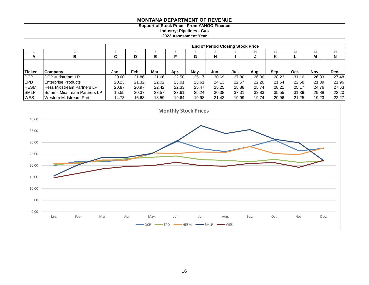# **Support of Stock Price - From YAHOO Finance**

**Industry: Pipelines - Gas**

**2022 Assessment Year**

|               |                                   |        | <b>End of Period Closing Stock Price</b> |       |       |       |       |       |       |       |       |       |       |  |  |  |
|---------------|-----------------------------------|--------|------------------------------------------|-------|-------|-------|-------|-------|-------|-------|-------|-------|-------|--|--|--|
|               |                                   | د      |                                          |       |       |       |       |       | 10    |       | 12    | 13    | 14    |  |  |  |
| A             |                                   | ~<br>u | D                                        | Е     |       | G     | н     |       |       | n     |       | м     | N     |  |  |  |
|               |                                   |        |                                          |       |       |       |       |       |       |       |       |       |       |  |  |  |
| <b>Ticker</b> | <b>ICompany</b>                   | Jan.   | Feb.                                     | Mar.  | Apr.  | Mav.  | Jun.  | Jul.  | Aug.  | Sep.  | Oct.  | Nov.  | Dec.  |  |  |  |
| <b>DCP</b>    | <b>IDCP Midstream LP</b>          | 20.00  | 21.86                                    | 21.66 | 22.50 | 25.17 | 30.69 | 27.30 | 26.06 | 28.23 | 31.10 | 26.33 | 27.48 |  |  |  |
| <b>IEPD</b>   | <b>Enterprise Products</b>        | 20.23  | 21.32                                    | 22.02 | 23.01 | 23.61 | 24.13 | 22.57 | 22.26 | 21.64 | 22.68 | 21.39 | 21.96 |  |  |  |
| <b>HESM</b>   | <b>Hess Midstream Partners LP</b> | 20.87  | 20.97                                    | 22.42 | 22.33 | 25.47 | 25.25 | 25.88 | 25.74 | 28.21 | 25.17 | 24.76 | 27.63 |  |  |  |
| <b>SMLP</b>   | Summit Midstream Partners LP      | 15.55  | 20.37                                    | 23.57 | 23.61 | 25.24 | 30.38 | 37.31 | 33.83 | 35.55 | 31.39 | 29.88 | 22.20 |  |  |  |
| <b>WES</b>    | Western Midstream Part.           | 14.73  | 16.63                                    | 18.59 | 19.64 | 19.98 | 21.42 | 19.99 | 19.74 | 20.96 | 21.25 | 19.23 | 22.27 |  |  |  |

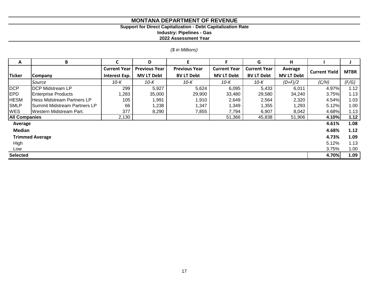# **Support for Direct Capitalization - Debt Capitalization Rate**

**Industry: Pipelines - Gas**

**2022 Assessment Year**

# *(\$ in Millions)*

| A                    | В                                 |                     | D                    | Е                    | F                   | G                   | н                 |                      |             |
|----------------------|-----------------------------------|---------------------|----------------------|----------------------|---------------------|---------------------|-------------------|----------------------|-------------|
|                      |                                   | <b>Current Year</b> | <b>Previous Year</b> | <b>Previous Year</b> | <b>Current Year</b> | <b>Current Year</b> | Average           | <b>Current Yield</b> | <b>MTBR</b> |
| <b>Ticker</b>        | <b>Company</b>                    | Interest Exp.       | <b>MV LT Debt</b>    | <b>BV LT Debt</b>    | <b>MV LT Debt</b>   | <b>BV LT Debt</b>   | <b>MV LT Debt</b> |                      |             |
|                      | Source                            | 10-K                | 10-K                 | 10-K                 | 10-K                | 10-K                | $(D+F)/2$         | (C/H)                | (F/G)       |
| <b>DCP</b>           | <b>IDCP Midstream LP</b>          | 299                 | 5,927                | 5,624                | 6,095               | 5,433               | 6,011             | 4.97%                | 1.12        |
| <b>IEPD</b>          | <b>Enterprise Products</b>        | 1,283               | 35,000               | 29,900               | 33,480              | 29,580              | 34,240            | 3.75%                | 1.13        |
| <b>HESM</b>          | <b>Hess Midstream Partners LP</b> | 105                 | 1,991                | 1,910                | 2,649               | 2,564               | 2,320             | 4.54%                | 1.03        |
| <b>SMLP</b>          | Summit Midstream Partners LP      | 66                  | 1,238                | 1,347                | 1,349               | 1,355               | 1,293             | 5.12%                | 1.00        |
| <b>WES</b>           | Western Midstream Part.           | 377                 | 8,290                | 7,855                | 7,794               | 6,907               | 8,042             | 4.68%                | 1.13        |
| <b>All Companies</b> |                                   | 2,130               |                      |                      | 51,366              | 45,838              | 51,906            | 4.10%                | 1.12        |
| Average              |                                   |                     |                      |                      |                     |                     |                   | 4.61%                | 1.08        |
| <b>Median</b>        |                                   |                     |                      |                      |                     |                     |                   | 4.68%                | 1.12        |
|                      | <b>Trimmed Average</b>            |                     |                      |                      |                     |                     |                   | 4.73%                | 1.09        |
| High                 |                                   |                     |                      |                      |                     |                     |                   | 5.12%                | 1.13        |
| Low                  |                                   |                     |                      |                      |                     |                     |                   | 3.75%                | 1.00        |
| <b>Selected</b>      |                                   |                     |                      |                      |                     |                     |                   | 4.70%                | 1.09        |